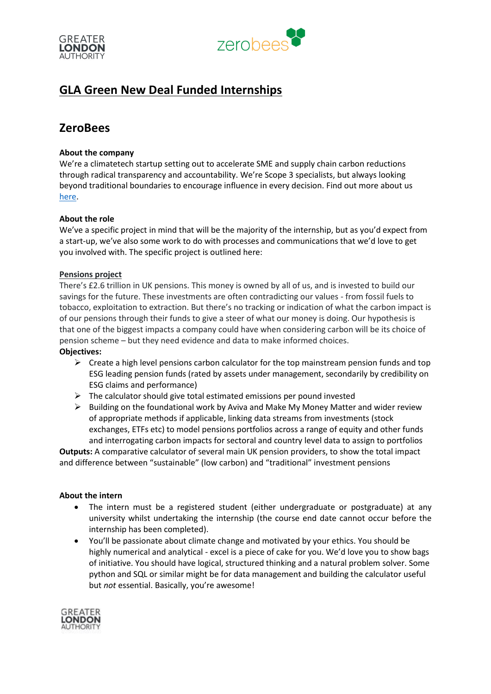



# **GLA Green New Deal Funded Internships**

## **ZeroBees**

### **About the company**

We're a climatetech startup setting out to accelerate SME and supply chain carbon reductions through radical transparency and accountability. We're Scope 3 specialists, but always looking beyond traditional boundaries to encourage influence in every decision. Find out more about us [here.](https://www.zerobees.com/)

#### **About the role**

We've a specific project in mind that will be the majority of the internship, but as you'd expect from a start-up, we've also some work to do with processes and communications that we'd love to get you involved with. The specific project is outlined here:

#### **Pensions project**

There's £2.6 trillion in UK pensions. This money is owned by all of us, and is invested to build our savings for the future. These investments are often contradicting our values - from fossil fuels to tobacco, exploitation to extraction. But there's no tracking or indication of what the carbon impact is of our pensions through their funds to give a steer of what our money is doing. Our hypothesis is that one of the biggest impacts a company could have when considering carbon will be its choice of pension scheme – but they need evidence and data to make informed choices.

#### **Objectives:**

- $\triangleright$  Create a high level pensions carbon calculator for the top mainstream pension funds and top ESG leading pension funds (rated by assets under management, secondarily by credibility on ESG claims and performance)
- $\triangleright$  The calculator should give total estimated emissions per pound invested
- $\triangleright$  Building on the foundational work by Aviva and Make My Money Matter and wider review of appropriate methods if applicable, linking data streams from investments (stock exchanges, ETFs etc) to model pensions portfolios across a range of equity and other funds and interrogating carbon impacts for sectoral and country level data to assign to portfolios

**Outputs:** A comparative calculator of several main UK pension providers, to show the total impact and difference between "sustainable" (low carbon) and "traditional" investment pensions

#### **About the intern**

- The intern must be a registered student (either undergraduate or postgraduate) at any university whilst undertaking the internship (the course end date cannot occur before the internship has been completed).
- You'll be passionate about climate change and motivated by your ethics. You should be highly numerical and analytical - excel is a piece of cake for you. We'd love you to show bags of initiative. You should have logical, structured thinking and a natural problem solver. Some python and SQL or similar might be for data management and building the calculator useful but *not* essential. Basically, you're awesome!